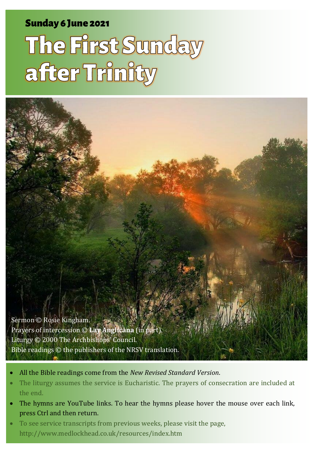# Sunday 6 June 2021 1 The First Sunday 6 June 2021 1 The First Sunday After Sunday A

# The First Sunday after Trinity

Sermon © Rosie Kingham. Prayers of intercession © **[Lay Anglicana](http://www.layanglicana.org/blog/2012/06/09/trinity-1-intercessions-the-epistle-rides-to-the-rescue/)** (in part). Liturgy © 2000 The Archbishops' Council. Bible readings © the publishers of the NRSV translation.

- All the Bible readings come from the *New Revised Standard Version*.
- The liturgy assumes the service is Eucharistic. The prayers of consecration are included at the end.
- The hymns are YouTube links. To hear the hymns please hover the mouse over each link, press Ctrl and then return.
- To see service transcripts from previous weeks, please visit the page, <http://www.medlockhead.co.uk/resources/index.htm>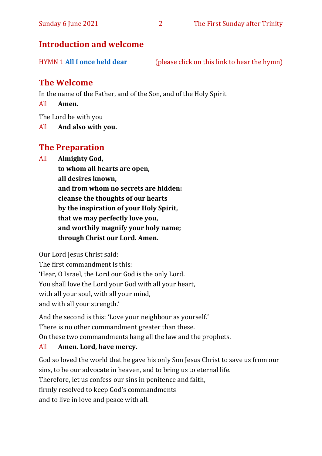#### Sunday 6 June 2021 2 The First Sunday after Trinity

#### **Introduction and welcome**

| <b>HYMN 1 All I once held dear</b> | (please click on this link to hear the hymn) |  |
|------------------------------------|----------------------------------------------|--|
|------------------------------------|----------------------------------------------|--|

# **The Welcome**

In the name of the Father, and of the Son, and of the Holy Spirit

All **Amen.**

The Lord be with you

All **And also with you.**

# **The Preparation**

All **Almighty God,**

**to whom all hearts are open, all desires known, and from whom no secrets are hidden: cleanse the thoughts of our hearts by the inspiration of your Holy Spirit, that we may perfectly love you, and worthily magnify your holy name; through Christ our Lord. Amen.**

Our Lord Jesus Christ said:

The first commandment is this: 'Hear, O Israel, the Lord our God is the only Lord. You shall love the Lord your God with all your heart, with all your soul, with all your mind, and with all your strength.'

And the second is this: 'Love your neighbour as yourself.' There is no other commandment greater than these. On these two commandments hang all the law and the prophets.

#### All **Amen. Lord, have mercy.**

God so loved the world that he gave his only Son Jesus Christ to save us from our sins, to be our advocate in heaven, and to bring us to eternal life. Therefore, let us confess our sins in penitence and faith, firmly resolved to keep God's commandments and to live in love and peace with all.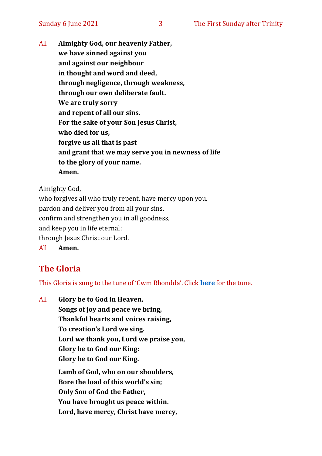All **Almighty God, our heavenly Father, we have sinned against you and against our neighbour in thought and word and deed, through negligence, through weakness, through our own deliberate fault. We are truly sorry and repent of all our sins. For the sake of your Son Jesus Christ, who died for us, forgive us all that is past and grant that we may serve you in newness of life to the glory of your name. Amen.**

Almighty God,

who forgives all who truly repent, have mercy upon you, pardon and deliver you from all your sins, confirm and strengthen you in all goodness, and keep you in life eternal; through Jesus Christ our Lord. All **Amen.**

# **The Gloria**

This Gloria is sung to the tune of 'Cwm Rhondda'. Click **[here](about:blank)** for the tune.

All **Glory be to God in Heaven, Songs of joy and peace we bring, Thankful hearts and voices raising, To creation's Lord we sing. Lord we thank you, Lord we praise you, Glory be to God our King: Glory be to God our King. Lamb of God, who on our shoulders, Bore the load of this world's sin; Only Son of God the Father, You have brought us peace within. Lord, have mercy, Christ have mercy,**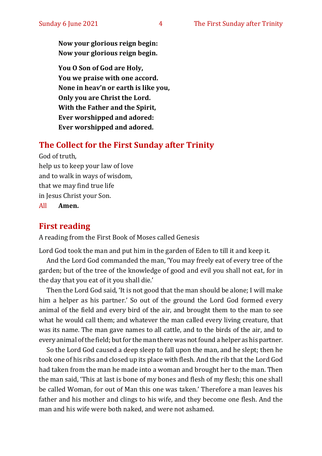**Now your glorious reign begin: Now your glorious reign begin.**

**You O Son of God are Holy, You we praise with one accord. None in heav'n or earth is like you, Only you are Christ the Lord. With the Father and the Spirit, Ever worshipped and adored: Ever worshipped and adored.**

# **The Collect for the First Sunday after Trinity**

God of truth, help us to keep your law of love and to walk in ways of wisdom, that we may find true life in Jesus Christ your Son. All **Amen.**

#### **First reading**

A reading from the First Book of Moses called Genesis

Lord God took the man and put him in the garden of Eden to till it and keep it.

And the Lord God commanded the man, 'You may freely eat of every tree of the garden; but of the tree of the knowledge of good and evil you shall not eat, for in the day that you eat of it you shall die.'

Then the Lord God said, 'It is not good that the man should be alone; I will make him a helper as his partner.' So out of the ground the Lord God formed every animal of the field and every bird of the air, and brought them to the man to see what he would call them; and whatever the man called every living creature, that was its name. The man gave names to all cattle, and to the birds of the air, and to every animal of the field; but for the man there was not found a helper as his partner.

So the Lord God caused a deep sleep to fall upon the man, and he slept; then he took one of his ribs and closed up its place with flesh. And the rib that the Lord God had taken from the man he made into a woman and brought her to the man. Then the man said, 'This at last is bone of my bones and flesh of my flesh; this one shall be called Woman, for out of Man this one was taken.' Therefore a man leaves his father and his mother and clings to his wife, and they become one flesh. And the man and his wife were both naked, and were not ashamed.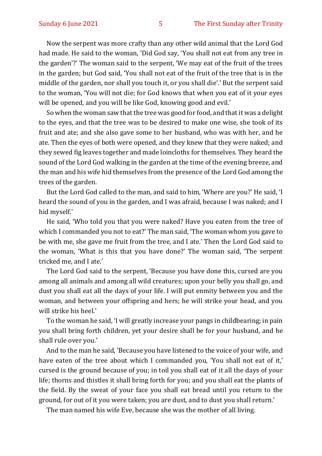Now the serpent was more crafty than any other wild animal that the Lord God had made. He said to the woman, 'Did God say, 'You shall not eat from any tree in the garden'?' The woman said to the serpent, 'We may eat of the fruit of the trees in the garden; but God said, 'You shall not eat of the fruit of the tree that is in the middle of the garden, nor shall you touch it, or you shall die'.' But the serpent said to the woman, 'You will not die; for God knows that when you eat of it your eyes will be opened, and you will be like God, knowing good and evil.'

So when the woman saw that the tree was good for food, and that it was a delight to the eyes, and that the tree was to be desired to make one wise, she took of its fruit and ate; and she also gave some to her husband, who was with her, and he ate. Then the eyes of both were opened, and they knew that they were naked; and they sewed fig leaves together and made loincloths for themselves. They heard the sound of the Lord God walking in the garden at the time of the evening breeze, and the man and his wife hid themselves from the presence of the Lord God among the trees of the garden.

But the Lord God called to the man, and said to him, 'Where are you?' He said, 'I heard the sound of you in the garden, and I was afraid, because I was naked; and I hid myself.'

He said, 'Who told you that you were naked? Have you eaten from the tree of which I commanded you not to eat?' The man said, 'The woman whom you gave to be with me, she gave me fruit from the tree, and I ate.' Then the Lord God said to the woman, 'What is this that you have done?' The woman said, 'The serpent tricked me, and I ate.'

The Lord God said to the serpent, 'Because you have done this, cursed are you among all animals and among all wild creatures; upon your belly you shall go, and dust you shall eat all the days of your life. I will put enmity between you and the woman, and between your offspring and hers; he will strike your head, and you will strike his heel.'

To the woman he said, 'I will greatly increase your pangs in childbearing; in pain you shall bring forth children, yet your desire shall be for your husband, and he shall rule over you.'

And to the man he said, 'Because you have listened to the voice of your wife, and have eaten of the tree about which I commanded you, 'You shall not eat of it,' cursed is the ground because of you; in toil you shall eat of it all the days of your life; thorns and thistles it shall bring forth for you; and you shall eat the plants of the field. By the sweat of your face you shall eat bread until you return to the ground, for out of it you were taken; you are dust, and to dust you shall return.'

The man named his wife Eve, because she was the mother of all living.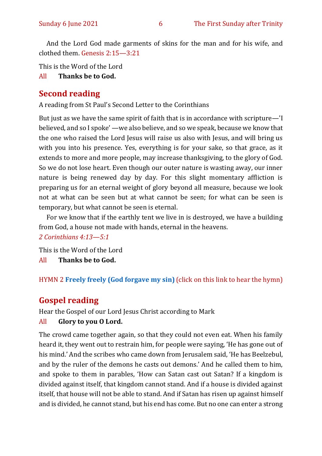And the Lord God made garments of skins for the man and for his wife, and clothed them. Genesis 2:15—3:21

This is the Word of the Lord

All **Thanks be to God.**

# **Second reading**

A reading from St Paul's Second Letter to the Corinthians

But just as we have the same spirit of faith that is in accordance with scripture—'I believed, and so I spoke' —we also believe, and so we speak, because we know that the one who raised the Lord Jesus will raise us also with Jesus, and will bring us with you into his presence. Yes, everything is for your sake, so that grace, as it extends to more and more people, may increase thanksgiving, to the glory of God. So we do not lose heart. Even though our outer nature is wasting away, our inner nature is being renewed day by day. For this slight momentary affliction is preparing us for an eternal weight of glory beyond all measure, because we look not at what can be seen but at what cannot be seen; for what can be seen is temporary, but what cannot be seen is eternal.

For we know that if the earthly tent we live in is destroyed, we have a building from God, a house not made with hands, eternal in the heavens.

*2 Corinthians 4:13—5:1*

This is the Word of the Lord

All **Thanks be to God.**

HYMN 2 **[Freely freely \(God forgave my sin\)](https://www.youtube.com/watch?v=SFV0OVeKdlw)** (click on this link to hear the hymn)

# **Gospel reading**

Hear the Gospel of our Lord Jesus Christ according to Mark

#### All **Glory to you O Lord.**

The crowd came together again, so that they could not even eat. When his family heard it, they went out to restrain him, for people were saying, 'He has gone out of his mind.' And the scribes who came down from Jerusalem said, 'He has Beelzebul, and by the ruler of the demons he casts out demons.' And he called them to him, and spoke to them in parables, 'How can Satan cast out Satan? If a kingdom is divided against itself, that kingdom cannot stand. And if a house is divided against itself, that house will not be able to stand. And if Satan has risen up against himself and is divided, he cannot stand, but his end has come. But no one can enter a strong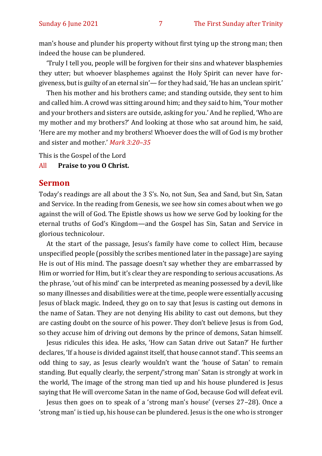man's house and plunder his property without first tying up the strong man; then indeed the house can be plundered.

'Truly I tell you, people will be forgiven for their sins and whatever blasphemies they utter; but whoever blasphemes against the Holy Spirit can never have forgiveness, but is guilty of an eternal sin'— for they had said, 'He has an unclean spirit.'

Then his mother and his brothers came; and standing outside, they sent to him and called him. A crowd was sitting around him; and they said to him, 'Your mother and your brothers and sisters are outside, asking for you.' And he replied, 'Who are my mother and my brothers?' And looking at those who sat around him, he said, 'Here are my mother and my brothers! Whoever does the will of God is my brother and sister and mother.' *Mark 3:20–35*

This is the Gospel of the Lord

#### All **Praise to you O Christ.**

#### **Sermon**

Today's readings are all about the 3 S's. No, not Sun, Sea and Sand, but Sin, Satan and Service. In the reading from Genesis, we see how sin comes about when we go against the will of God. The Epistle shows us how we serve God by looking for the eternal truths of God's Kingdom—and the Gospel has Sin, Satan and Service in glorious technicolour.

At the start of the passage, Jesus's family have come to collect Him, because unspecified people (possibly the scribes mentioned later in the passage) are saying He is out of His mind. The passage doesn't say whether they are embarrassed by Him or worried for Him, but it's clear they are responding to serious accusations. As the phrase, 'out of his mind' can be interpreted as meaning possessed by a devil, like so many illnesses and disabilities were at the time, people were essentially accusing Jesus of black magic. Indeed, they go on to say that Jesus is casting out demons in the name of Satan. They are not denying His ability to cast out demons, but they are casting doubt on the source of his power. They don't believe Jesus is from God, so they accuse him of driving out demons by the prince of demons, Satan himself.

Jesus ridicules this idea. He asks, 'How can Satan drive out Satan?' He further declares, 'If a house is divided against itself, that house cannot stand'. This seems an odd thing to say, as Jesus clearly wouldn't want the 'house of Satan' to remain standing. But equally clearly, the serpent/'strong man' Satan is strongly at work in the world, The image of the strong man tied up and his house plundered is Jesus saying that He will overcome Satan in the name of God, because God will defeat evil.

Jesus then goes on to speak of a 'strong man's house' (verses 27–28). Once a 'strong man' is tied up, his house can be plundered. Jesus is the one who is stronger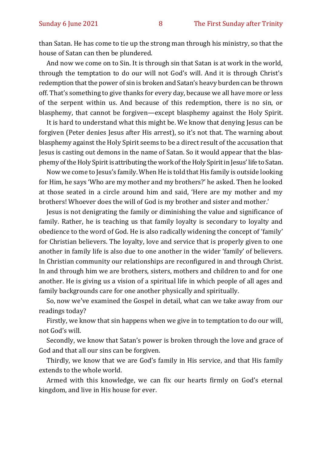than Satan. He has come to tie up the strong man through his ministry, so that the house of Satan can then be plundered.

And now we come on to Sin. It is through sin that Satan is at work in the world, through the temptation to do our will not God's will. And it is through Christ's redemption that the power of sin is broken and Satan's heavy burden can be thrown off. That's something to give thanks for every day, because we all have more or less of the serpent within us. And because of this redemption, there is no sin, or blasphemy, that cannot be forgiven—except blasphemy against the Holy Spirit.

It is hard to understand what this might be. We know that denying Jesus can be forgiven (Peter denies Jesus after His arrest), so it's not that. The warning about blasphemy against the Holy Spirit seems to be a direct result of the accusation that Jesus is casting out demons in the name of Satan. So it would appear that the blasphemy of the Holy Spirit is attributing the work of the Holy Spirit in Jesus' life to Satan.

Now we come to Jesus's family. When He is told that His family is outside looking for Him, he says 'Who are my mother and my brothers?' he asked. Then he looked at those seated in a circle around him and said, 'Here are my mother and my brothers! Whoever does the will of God is my brother and sister and mother.'

Jesus is not denigrating the family or diminishing the value and significance of family. Rather, he is teaching us that family loyalty is secondary to loyalty and obedience to the word of God. He is also radically widening the concept of 'family' for Christian believers. The loyalty, love and service that is properly given to one another in family life is also due to one another in the wider 'family' of believers. In Christian community our relationships are reconfigured in and through Christ. In and through him we are brothers, sisters, mothers and children to and for one another. He is giving us a vision of a spiritual life in which people of all ages and family backgrounds care for one another physically and spiritually.

So, now we've examined the Gospel in detail, what can we take away from our readings today?

Firstly, we know that sin happens when we give in to temptation to do our will, not God's will.

Secondly, we know that Satan's power is broken through the love and grace of God and that all our sins can be forgiven.

Thirdly, we know that we are God's family in His service, and that His family extends to the whole world.

Armed with this knowledge, we can fix our hearts firmly on God's eternal kingdom, and live in His house for ever.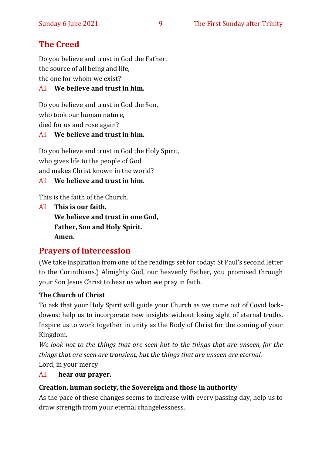# **The Creed**

Do you believe and trust in God the Father, the source of all being and life, the one for whom we exist?

#### All **We believe and trust in him.**

Do you believe and trust in God the Son, who took our human nature, died for us and rose again? All **We believe and trust in him.**

Do you believe and trust in God the Holy Spirit, who gives life to the people of God and makes Christ known in the world?

All **We believe and trust in him.**

This is the faith of the Church.

All **This is our faith. We believe and trust in one God, Father, Son and Holy Spirit. Amen.**

#### **Prayers of intercession**

(We take inspiration from one of the readings set for today: St Paul's second letter to the Corinthians.) Almighty God, our heavenly Father, you promised through your Son Jesus Christ to hear us when we pray in faith.

#### **The Church of Christ**

To ask that your Holy Spirit will guide your Church as we come out of Covid lockdowns: help us to incorporate new insights without losing sight of eternal truths. Inspire us to work together in unity as the Body of Christ for the coming of your Kingdom.

*We look not to the things that are seen but to the things that are unseen, for the things that are seen are transient, but the things that are unseen are eternal.* Lord, in your mercy

#### All **hear our prayer.**

#### **Creation, human society, the Sovereign and those in authority**

As the pace of these changes seems to increase with every passing day, help us to draw strength from your eternal changelessness.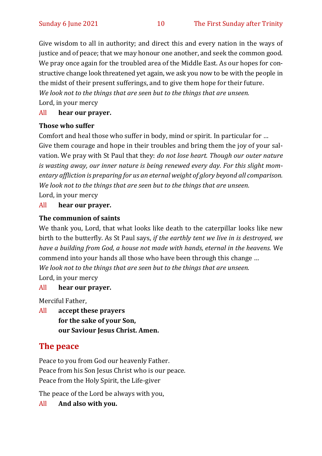Give wisdom to all in authority; and direct this and every nation in the ways of justice and of peace; that we may honour one another, and seek the common good. We pray once again for the troubled area of the Middle East. As our hopes for constructive change look threatened yet again, we ask you now to be with the people in the midst of their present sufferings, and to give them hope for their future. *We look not to the things that are seen but to the things that are unseen.*

Lord, in your mercy

#### All **hear our prayer.**

#### **Those who suffer**

Comfort and heal those who suffer in body, mind or spirit. In particular for … Give them courage and hope in their troubles and bring them the joy of your salvation. We pray with St Paul that they: *do not lose heart. Though our outer nature is wasting away, our inner nature is being renewed every day. For this slight momentary affliction is preparing for us an eternal weight of glory beyond all comparison. We look not to the things that are seen but to the things that are unseen.* Lord, in your mercy

#### All **hear our prayer.**

#### **The communion of saints**

We thank you, Lord, that what looks like death to the caterpillar looks like new birth to the butterfly. As St Paul says, *if the earthly tent we live in is destroyed, we have a building from God, a house not made with hands, eternal in the heavens.* We commend into your hands all those who have been through this change … *We look not to the things that are seen but to the things that are unseen.*

Lord, in your mercy

All **hear our prayer.**

Merciful Father,

All **accept these prayers for the sake of your Son, our Saviour Jesus Christ. Amen.**

# **The peace**

Peace to you from God our heavenly Father. Peace from his Son Jesus Christ who is our peace. Peace from the Holy Spirit, the Life-giver

The peace of the Lord be always with you,

All **And also with you.**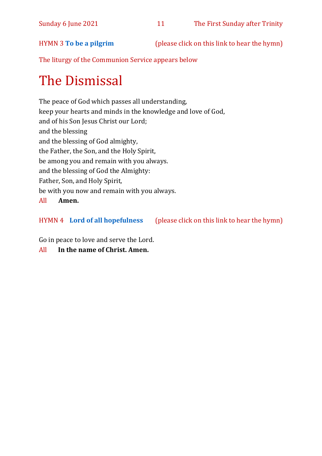HYMN 3 **[To be a pilgrim](https://www.youtube.com/watch?v=EiSxSZ0s0AQ)** (please click on this link to hear the hymn)

The liturgy of the Communion Service appears below

# The Dismissal

The peace of God which passes all understanding, keep your hearts and minds in the knowledge and love of God, and of his Son Jesus Christ our Lord; and the blessing and the blessing of God almighty, the Father, the Son, and the Holy Spirit, be among you and remain with you always. and the blessing of God the Almighty: Father, Son, and Holy Spirit, be with you now and remain with you always.

#### All **Amen.**

HYMN 4 **[Lord of all hopefulness](https://www.youtube.com/watch?v=9-D_aT8CXyc)** (please click on this link to hear the hymn)

Go in peace to love and serve the Lord.

All **In the name of Christ. Amen.**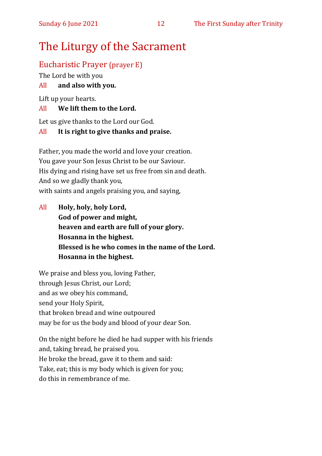# The Liturgy of the Sacrament

# Eucharistic Prayer (prayer E)

The Lord be with you

#### All **and also with you.**

Lift up your hearts.

#### All **We lift them to the Lord.**

Let us give thanks to the Lord our God.

#### All **It is right to give thanks and praise.**

Father, you made the world and love your creation. You gave your Son Jesus Christ to be our Saviour. His dying and rising have set us free from sin and death. And so we gladly thank you, with saints and angels praising you, and saying,

All **Holy, holy, holy Lord, God of power and might, heaven and earth are full of your glory. Hosanna in the highest. Blessed is he who comes in the name of the Lord. Hosanna in the highest.**

We praise and bless you, loving Father, through Jesus Christ, our Lord; and as we obey his command, send your Holy Spirit, that broken bread and wine outpoured may be for us the body and blood of your dear Son.

On the night before he died he had supper with his friends and, taking bread, he praised you. He broke the bread, gave it to them and said: Take, eat; this is my body which is given for you; do this in remembrance of me.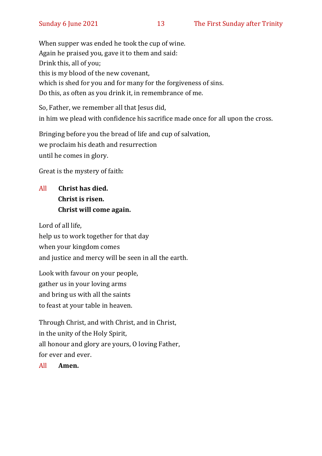When supper was ended he took the cup of wine. Again he praised you, gave it to them and said: Drink this, all of you; this is my blood of the new covenant, which is shed for you and for many for the forgiveness of sins. Do this, as often as you drink it, in remembrance of me.

So, Father, we remember all that Jesus did, in him we plead with confidence his sacrifice made once for all upon the cross.

Bringing before you the bread of life and cup of salvation, we proclaim his death and resurrection until he comes in glory.

Great is the mystery of faith:

# All **Christ has died. Christ is risen. Christ will come again.**

Lord of all life, help us to work together for that day when your kingdom comes and justice and mercy will be seen in all the earth.

Look with favour on your people, gather us in your loving arms and bring us with all the saints to feast at your table in heaven.

Through Christ, and with Christ, and in Christ, in the unity of the Holy Spirit, all honour and glory are yours, O loving Father, for ever and ever.

All **Amen.**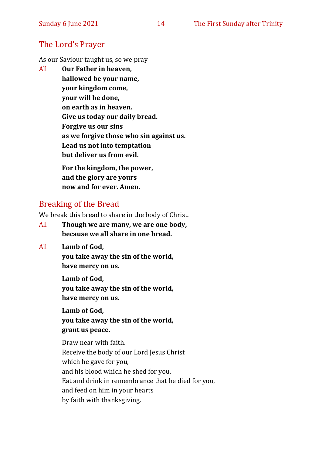# The Lord's Prayer

As our Saviour taught us, so we pray

All **Our Father in heaven, hallowed be your name, your kingdom come, your will be done, on earth as in heaven. Give us today our daily bread. Forgive us our sins as we forgive those who sin against us. Lead us not into temptation but deliver us from evil. For the kingdom, the power,** 

**and the glory are yours now and for ever. Amen.**

# Breaking of the Bread

We break this bread to share in the body of Christ.

- All **Though we are many, we are one body, because we all share in one bread.**
- All **Lamb of God,**

**you take away the sin of the world, have mercy on us.**

**Lamb of God, you take away the sin of the world, have mercy on us.**

**Lamb of God, you take away the sin of the world, grant us peace.**

Draw near with faith. Receive the body of our Lord Jesus Christ which he gave for you, and his blood which he shed for you. Eat and drink in remembrance that he died for you, and feed on him in your hearts by faith with thanksgiving.